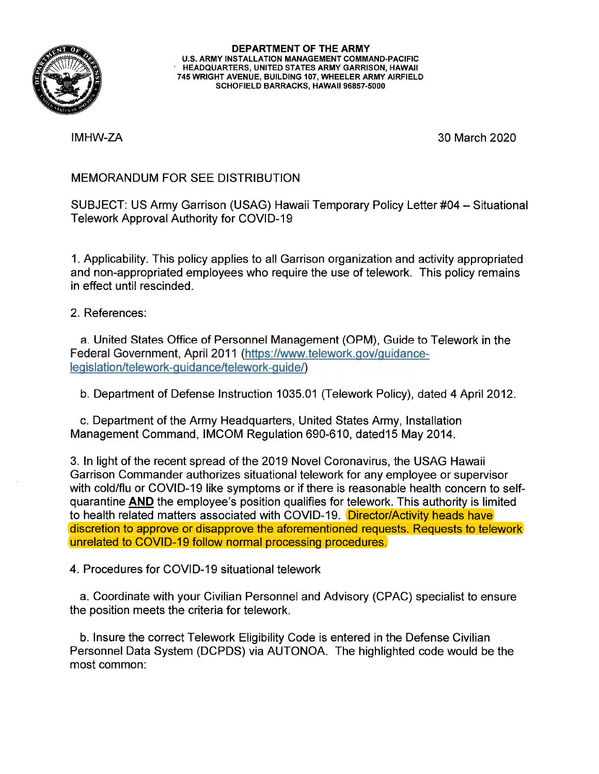

**DEPARTMENT OF THE ARMY U.S. ARMY INSTALLATION MANAGEMENT COMMAND-PACIFIC HEADQUARTERS, UNITED STATES ARMY GARRISON, HAWAII 745 WRIGHT AVENUE, BUILDING 107, WHEELER ARMY AIRFIELD SCHOFIELD BARRACKS, HAWAII 96857-5000** 

IMHW-ZA

30 March 2020

## MEMORANDUM FOR SEE DISTRIBUTION

SUBJECT: US Army Garrison (USAG) Hawaii Temporary Policy Letter #04 - Situational Telework Approval Authority for COVID-19

1. Applicability. This policy applies to all Garrison organization and activity appropriated and non-appropriated employees who require the use of telework. This policy remains in effect until rescinded.

2. References:

a. United States Office of Personnel Management (OPM), Guide to Telework in the Federal Government, April 2011 (https://www.telework.gov/guidancelegislation/telework-guidance/telework-guide/)

b. Department of Defense Instruction 1035.01 (Telework Policy), dated 4 April 2012.

c. Department of the Army Headquarters, United States Army, Installation Management Command, IMCOM Regulation 690-610, dated15 May 2014.

3. In light of the recent spread of the 2019 Novel Coronavirus, the USAG Hawaii Garrison Commander authorizes situational telework for any employee or supervisor with cold/flu or COVID-19 like symptoms or if there is reasonable health concern to selfquarantine **AND** the employee's position qualifies for telework. This authority is limited to health related matters associated with COVID-19. Director/Activity heads have discretion to approve or disapprove the aforementioned requests. Requests to telework unrelated to COVID-19 follow normal processing procedures.

4. Procedures for COVID-19 situational telework

a. Coordinate with your Civilian Personnel and Advisory (CPAC) specialist to ensure the position meets the criteria for telework.

b. Insure the correct Telework Eligibility Code is entered in the Defense Civilian Personnel Data System (DCPDS) via AUTONOA. The highlighted code would be the most common: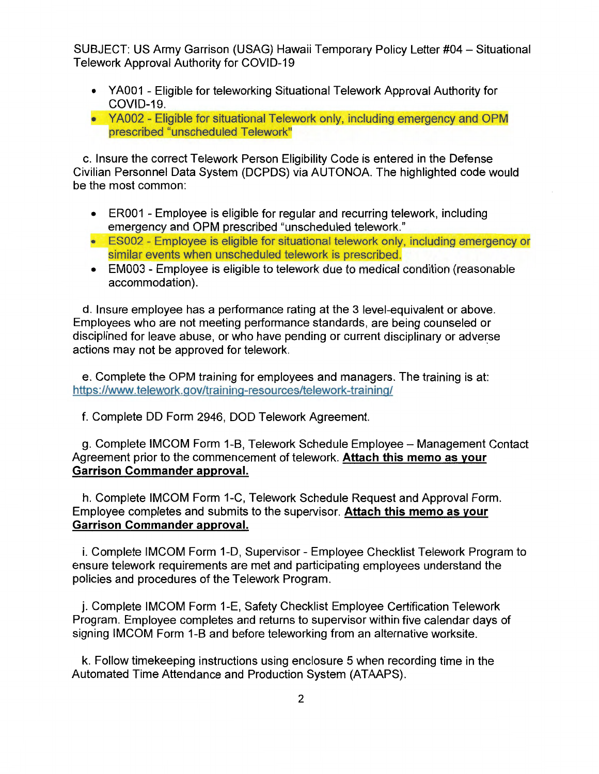SUBJECT: US Army Garrison (USAG) Hawaii Temporary Policy Letter #04 - Situational Telework Approval Authority for COVID-19

- YA001 Eligible for teleworking Situational Telework Approval Authority for COVID-19.
- YA002 Eligible for situational Telework only, including emergency and OPM prescribed "unscheduled Telework"

c. Insure the correct Telework Person Eligibility Code is entered in the Defense Civilian Personnel Data System (DCPDS) via AUTONOA. The highlighted code would be the most common:

- ER001 Employee is eligible for regular and recurring telework, including emergency and OPM prescribed "unscheduled telework."
- ES002 Employee is eligible for situational telework only, including emergency or similar events when unscheduled telework is prescribed.
- EM003 Employee is eligible to telework due to medical condition (reasonable accommodation).

d. Insure employee has a performance rating at the 3 level-equivalent or above. Employees who are not meeting performance standards, are being counseled or disciplined for leave abuse, or who have pending or current disciplinary or adverse actions may not be approved for telework.

e. Complete the OPM training for employees and managers. The training is at: https://www.telework.gov/training-resources/telework-training/

f. Complete DD Form 2946, DOD Telework Agreement.

g. Complete IMCOM Form 1-B, Telework Schedule Employee - Management Contact Agreement prior to the commencement of telework. **Attach this memo as your Garrison Commander approval.** 

h. Complete IMCOM Form 1-C, Telework Schedule Request and Approval Form. Employee completes and submits to the supervisor. **Attach this memo as your Garrison Commander approval.** 

i. Complete IMCOM Form 1-D, Supervisor - Employee Checklist Telework Program to ensure telework requirements are met and participating employees understand the policies and procedures of the Telework Program.

j. Complete IMCOM Form 1-E, Safety Checklist Employee Certification Telework Program. Employee completes and returns to supervisor within five calendar days of signing IMCOM Form 1-B and before teleworking from an alternative worksite.

k. Follow timekeeping instructions using enclosure 5 when recording time in the Automated Time Attendance and Production System (ATAAPS).